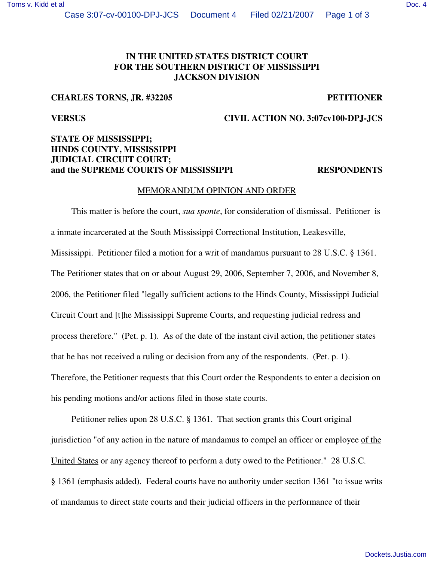# **IN THE UNITED STATES DISTRICT COURT FOR THE SOUTHERN DISTRICT OF MISSISSIPPI JACKSON DIVISION**

# **CHARLES TORNS, JR. #32205 PETITIONER**

## **VERSUS CIVIL ACTION NO. 3:07cv100-DPJ-JCS**

# **STATE OF MISSISSIPPI; HINDS COUNTY, MISSISSIPPI JUDICIAL CIRCUIT COURT; and the SUPREME COURTS OF MISSISSIPPI RESPONDENTS**

### MEMORANDUM OPINION AND ORDER

This matter is before the court, *sua sponte*, for consideration of dismissal. Petitioner is a inmate incarcerated at the South Mississippi Correctional Institution, Leakesville, Mississippi. Petitioner filed a motion for a writ of mandamus pursuant to 28 U.S.C. § 1361. The Petitioner states that on or about August 29, 2006, September 7, 2006, and November 8, 2006, the Petitioner filed "legally sufficient actions to the Hinds County, Mississippi Judicial Circuit Court and [t]he Mississippi Supreme Courts, and requesting judicial redress and process therefore." (Pet. p. 1). As of the date of the instant civil action, the petitioner states that he has not received a ruling or decision from any of the respondents. (Pet. p. 1). Therefore, the Petitioner requests that this Court order the Respondents to enter a decision on his pending motions and/or actions filed in those state courts.

Petitioner relies upon 28 U.S.C. § 1361. That section grants this Court original jurisdiction "of any action in the nature of mandamus to compel an officer or employee of the United States or any agency thereof to perform a duty owed to the Petitioner." 28 U.S.C. § 1361 (emphasis added). Federal courts have no authority under section 1361 "to issue writs of mandamus to direct state courts and their judicial officers in the performance of their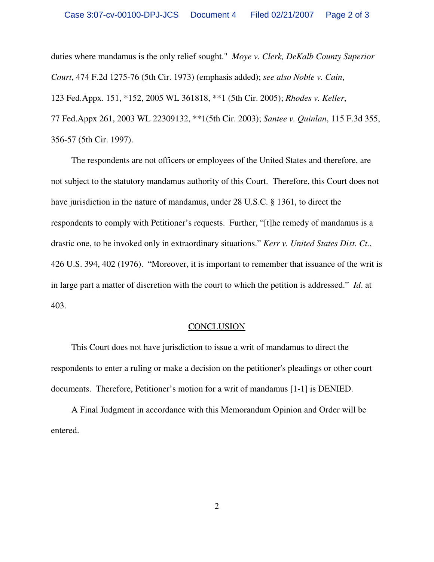duties where mandamus is the only relief sought." *Moye v. Clerk, DeKalb County Superior Court*, 474 F.2d 1275-76 (5th Cir. 1973) (emphasis added); *see also Noble v. Cain*, 123 Fed.Appx. 151, \*152, 2005 WL 361818, \*\*1 (5th Cir. 2005); *Rhodes v. Keller*, 77 Fed.Appx 261, 2003 WL 22309132, \*\*1(5th Cir. 2003); *Santee v. Quinlan*, 115 F.3d 355, 356-57 (5th Cir. 1997).

The respondents are not officers or employees of the United States and therefore, are not subject to the statutory mandamus authority of this Court. Therefore, this Court does not have jurisdiction in the nature of mandamus, under 28 U.S.C. § 1361, to direct the respondents to comply with Petitioner's requests. Further, "[t]he remedy of mandamus is a drastic one, to be invoked only in extraordinary situations." *Kerr v. United States Dist. Ct.*, 426 U.S. 394, 402 (1976). "Moreover, it is important to remember that issuance of the writ is in large part a matter of discretion with the court to which the petition is addressed." *Id*. at 403.

## **CONCLUSION**

This Court does not have jurisdiction to issue a writ of mandamus to direct the respondents to enter a ruling or make a decision on the petitioner's pleadings or other court documents. Therefore, Petitioner's motion for a writ of mandamus [1-1] is DENIED.

A Final Judgment in accordance with this Memorandum Opinion and Order will be entered.